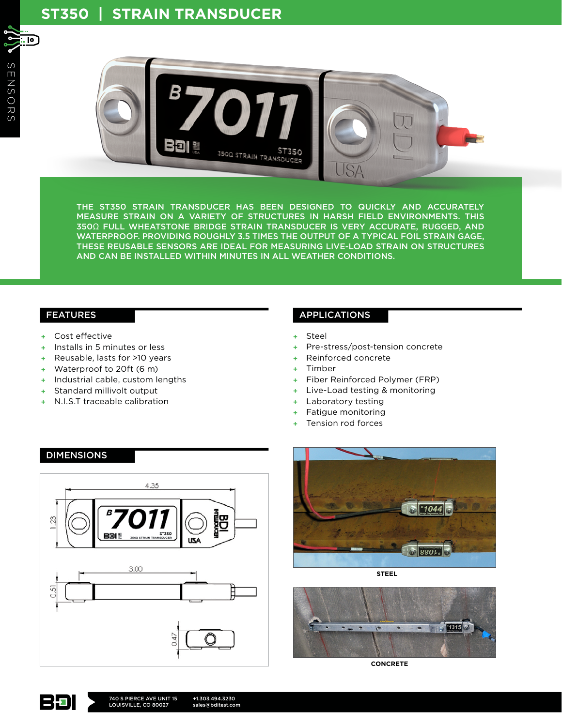. ட



THE ST350 STRAIN TRANSDUCER HAS BEEN DESIGNED TO QUICKLY AND ACCURATELY MEASURE STRAIN ON A VARIETY OF STRUCTURES IN HARSH FIELD ENVIRONMENTS. THIS 350Ω FULL WHEATSTONE BRIDGE STRAIN TRANSDUCER IS VERY ACCURATE, RUGGED, AND WATERPROOF. PROVIDING ROUGHLY 3.5 TIMES THE OUTPUT OF A TYPICAL FOIL STRAIN GAGE, THESE REUSABLE SENSORS ARE IDEAL FOR MEASURING LIVE-LOAD STRAIN ON STRUCTURES AND CAN BE INSTALLED WITHIN MINUTES IN ALL WEATHER CONDITIONS.

#### FEATURES

- + Cost effective
- + Installs in 5 minutes or less
- + Reusable, lasts for >10 years
- + Waterproof to 20ft (6 m)
- + Industrial cable, custom lengths
- + Standard millivolt output
- N.I.S.T traceable calibration

## APPLICATIONS

- + Steel
- + Pre-stress/post-tension concrete
- + Reinforced concrete
- + Timber
- + Fiber Reinforced Polymer (FRP)
- + Live-Load testing & monitoring
- + Laboratory testing
- + Fatigue monitoring
- Tension rod forces







**STEEL**



**CONCRETE**